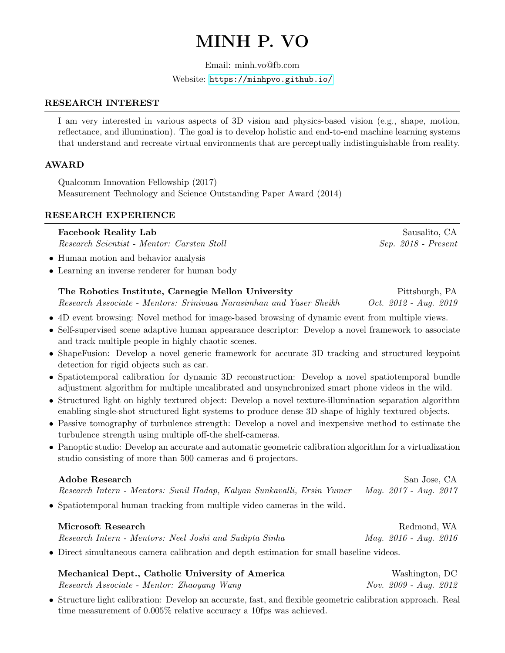# MINH P. VO

Email: minh.vo@fb.com

Website: <https://minhpvo.github.io/>

# RESEARCH INTEREST

I am very interested in various aspects of 3D vision and physics-based vision (e.g., shape, motion, reflectance, and illumination). The goal is to develop holistic and end-to-end machine learning systems that understand and recreate virtual environments that are perceptually indistinguishable from reality.

# AWARD

Qualcomm Innovation Fellowship (2017) Measurement Technology and Science Outstanding Paper Award (2014)

# RESEARCH EXPERIENCE

# **Facebook Reality Lab** Sausalito, CA

Research Scientist - Mentor: Carsten Stoll Sep. 2018 - Present

- Human motion and behavior analysis
- Learning an inverse renderer for human body

# The Robotics Institute, Carnegie Mellon University Fittsburgh, PA Research Associate - Mentors: Srinivasa Narasimhan and Yaser Sheikh Oct. 2012 - Aug. 2019

• 4D event browsing: Novel method for image-based browsing of dynamic event from multiple views.

- Self-supervised scene adaptive human appearance descriptor: Develop a novel framework to associate and track multiple people in highly chaotic scenes.
- ShapeFusion: Develop a novel generic framework for accurate 3D tracking and structured keypoint detection for rigid objects such as car.
- Spatiotemporal calibration for dynamic 3D reconstruction: Develop a novel spatiotemporal bundle adjustment algorithm for multiple uncalibrated and unsynchronized smart phone videos in the wild.
- Structured light on highly textured object: Develop a novel texture-illumination separation algorithm enabling single-shot structured light systems to produce dense 3D shape of highly textured objects.
- Passive tomography of turbulence strength: Develop a novel and inexpensive method to estimate the turbulence strength using multiple off-the shelf-cameras.
- Panoptic studio: Develop an accurate and automatic geometric calibration algorithm for a virtualization studio consisting of more than 500 cameras and 6 projectors.

# Adobe Research San Jose, CA Research Intern - Mentors: Sunil Hadap, Kalyan Sunkavalli, Ersin Yumer May. 2017 - Aug. 2017 • Spatiotemporal human tracking from multiple video cameras in the wild.

| Microsoft Research                                                                       | Redmond, WA           |
|------------------------------------------------------------------------------------------|-----------------------|
| Research Intern - Mentors: Neel Joshi and Sudipta Sinha                                  | May. 2016 - Aug. 2016 |
| • Direct simultaneous camera calibration and depth estimation for small baseline videos. |                       |

| Mechanical Dept., Catholic University of America | Washington, DC        |
|--------------------------------------------------|-----------------------|
| Research Associate - Mentor: Zhaoyang Wang       | Nov. 2009 - Aug. 2012 |

• Structure light calibration: Develop an accurate, fast, and flexible geometric calibration approach. Real time measurement of 0.005% relative accuracy a 10fps was achieved.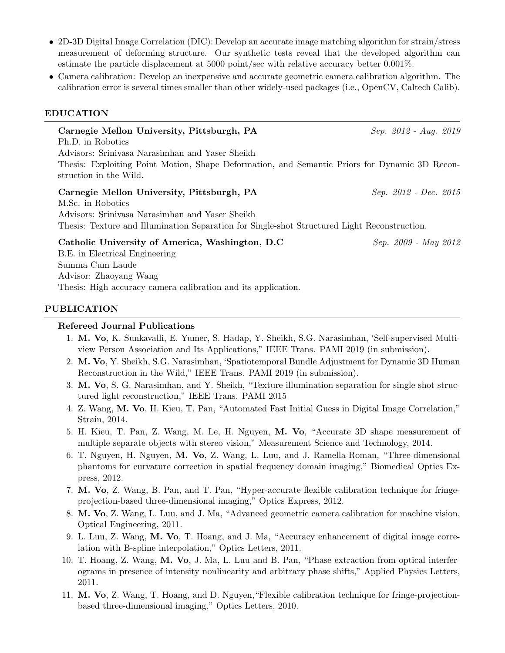- 2D-3D Digital Image Correlation (DIC): Develop an accurate image matching algorithm for strain/stress measurement of deforming structure. Our synthetic tests reveal that the developed algorithm can estimate the particle displacement at 5000 point/sec with relative accuracy better 0.001%.
- Camera calibration: Develop an inexpensive and accurate geometric camera calibration algorithm. The calibration error is several times smaller than other widely-used packages (i.e., OpenCV, Caltech Calib).

#### EDUCATION

Carnegie Mellon University, Pittsburgh, PA Sep. 2012 - Aug. 2019 Ph.D. in Robotics Advisors: Srinivasa Narasimhan and Yaser Sheikh Thesis: Exploiting Point Motion, Shape Deformation, and Semantic Priors for Dynamic 3D Reconstruction in the Wild. Carnegie Mellon University, Pittsburgh, PA Sep. 2012 - Dec. 2015 M.Sc. in Robotics Advisors: Srinivasa Narasimhan and Yaser Sheikh Thesis: Texture and Illumination Separation for Single-shot Structured Light Reconstruction. Catholic University of America, Washington, D.C Sep. 2009 - May 2012 B.E. in Electrical Engineering Summa Cum Laude Advisor: Zhaoyang Wang

Thesis: High accuracy camera calibration and its application.

#### PUBLICATION

#### Refereed Journal Publications

- 1. M. Vo, K. Sunkavalli, E. Yumer, S. Hadap, Y. Sheikh, S.G. Narasimhan, 'Self-supervised Multiview Person Association and Its Applications," IEEE Trans. PAMI 2019 (in submission).
- 2. M. Vo, Y. Sheikh, S.G. Narasimhan, 'Spatiotemporal Bundle Adjustment for Dynamic 3D Human Reconstruction in the Wild," IEEE Trans. PAMI 2019 (in submission).
- 3. M. Vo, S. G. Narasimhan, and Y. Sheikh, "Texture illumination separation for single shot structured light reconstruction," IEEE Trans. PAMI 2015
- 4. Z. Wang, M. Vo, H. Kieu, T. Pan, "Automated Fast Initial Guess in Digital Image Correlation," Strain, 2014.
- 5. H. Kieu, T. Pan, Z. Wang, M. Le, H. Nguyen, M. Vo, "Accurate 3D shape measurement of multiple separate objects with stereo vision," Measurement Science and Technology, 2014.
- 6. T. Nguyen, H. Nguyen, M. Vo, Z. Wang, L. Luu, and J. Ramella-Roman, "Three-dimensional phantoms for curvature correction in spatial frequency domain imaging," Biomedical Optics Express, 2012.
- 7. M. Vo, Z. Wang, B. Pan, and T. Pan, "Hyper-accurate flexible calibration technique for fringeprojection-based three-dimensional imaging," Optics Express, 2012.
- 8. M. Vo, Z. Wang, L. Luu, and J. Ma, "Advanced geometric camera calibration for machine vision, Optical Engineering, 2011.
- 9. L. Luu, Z. Wang, M. Vo, T. Hoang, and J. Ma, "Accuracy enhancement of digital image correlation with B-spline interpolation," Optics Letters, 2011.
- 10. T. Hoang, Z. Wang, M. Vo, J. Ma, L. Luu and B. Pan, "Phase extraction from optical interferograms in presence of intensity nonlinearity and arbitrary phase shifts," Applied Physics Letters, 2011.
- 11. M. Vo, Z. Wang, T. Hoang, and D. Nguyen,"Flexible calibration technique for fringe-projectionbased three-dimensional imaging," Optics Letters, 2010.